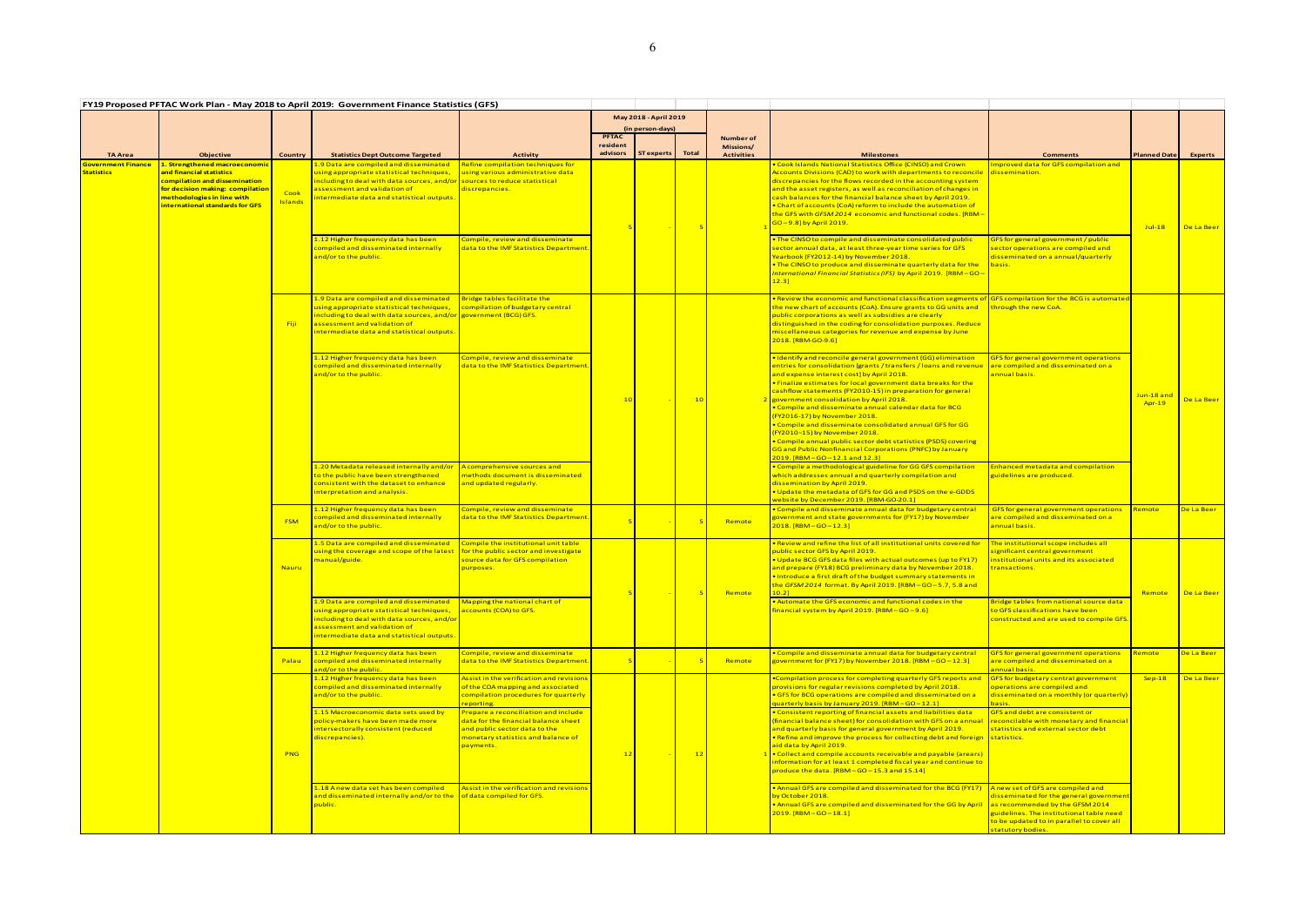| FY19 Proposed PFTAC Work Plan - May 2018 to April 2019: Government Finance Statistics (GFS) |                                                                                                                                                                                                             |                        |                                                                                                                                                                                                                                             |                                                                                                                                                                  |                                                           |                   |              |                                             |                                                                                                                                                                                                                                                                                                                                                                                                                                                                                                                                                                                                                                                                                                                 |                                                                                                                                                                                                                               |                             |                |
|---------------------------------------------------------------------------------------------|-------------------------------------------------------------------------------------------------------------------------------------------------------------------------------------------------------------|------------------------|---------------------------------------------------------------------------------------------------------------------------------------------------------------------------------------------------------------------------------------------|------------------------------------------------------------------------------------------------------------------------------------------------------------------|-----------------------------------------------------------|-------------------|--------------|---------------------------------------------|-----------------------------------------------------------------------------------------------------------------------------------------------------------------------------------------------------------------------------------------------------------------------------------------------------------------------------------------------------------------------------------------------------------------------------------------------------------------------------------------------------------------------------------------------------------------------------------------------------------------------------------------------------------------------------------------------------------------|-------------------------------------------------------------------------------------------------------------------------------------------------------------------------------------------------------------------------------|-----------------------------|----------------|
|                                                                                             |                                                                                                                                                                                                             |                        |                                                                                                                                                                                                                                             |                                                                                                                                                                  | May 2018 - April 2019<br>(in person-days)<br><b>PFTAC</b> |                   |              |                                             |                                                                                                                                                                                                                                                                                                                                                                                                                                                                                                                                                                                                                                                                                                                 |                                                                                                                                                                                                                               |                             |                |
| <b>TA Area</b>                                                                              | <b>Objective</b>                                                                                                                                                                                            | <b>Country</b>         | <b>Statistics Dept Outcome Targeted</b>                                                                                                                                                                                                     | <b>Activity</b>                                                                                                                                                  | resident<br>advisors                                      | <b>ST</b> experts | <b>Total</b> | Number of<br>Missions/<br><b>Activities</b> | <b>Milestones</b>                                                                                                                                                                                                                                                                                                                                                                                                                                                                                                                                                                                                                                                                                               | <b>Comments</b>                                                                                                                                                                                                               | <b>Planned Date</b>         | <b>Experts</b> |
| <b>Government Finance</b><br><b>Statistics</b>                                              | <mark>1. Strengthened macroeconomic</mark><br>and financial statistics<br>compilation and dissemination<br>for decision making: compilation<br>methodologies in line with<br>nternational standards for GFS | Cook<br><b>Islands</b> | 1.9 Data are compiled and disseminated<br>ising appropriate statistical techniques,<br>ncluding to deal with data sources, and/or sources to reduce statistical<br>issessment and validation of<br>ntermediate data and statistical outputs | Refine compilation techniques for<br>using various administrative data<br>discrepancies.                                                                         |                                                           |                   |              |                                             | Cook Islands National Statistics Office (CINSO) and Crown<br>Accounts Divisions (CAD) to work with departments to reconcile<br>discrepancies for the flows recorded in the accounting system<br>and the asset registers, as well as reconciliation of changes in<br>cash balances for the financial balance sheet by April 2019.<br>. Chart of accounts (CoA) reform to include the automation of<br>the GFS with GFSM 2014 economic and functional codes. [RBM-<br>GO – 9.8] by April 2019.                                                                                                                                                                                                                    | mproved data for GFS compilation and<br><mark>dissemination.</mark>                                                                                                                                                           | $Jul-18$                    | De La Beer     |
|                                                                                             |                                                                                                                                                                                                             |                        | 1.12 Higher frequency data has been<br>compiled and disseminated internally<br>and/or to the public.                                                                                                                                        | Compile, review and disseminate<br>data to the IMF Statistics Department                                                                                         |                                                           |                   |              |                                             | . The CINSO to compile and disseminate consolidated public<br>sector annual data, at least three-year time series for GFS<br>Yearbook (FY2012-14) by November 2018.<br>. The CINSO to produce and disseminate quarterly data for the<br>International Financial Statistics (IFS) by April 2019. [RBM-GO<br>$12.3$ ]                                                                                                                                                                                                                                                                                                                                                                                             | GFS for general government / public<br>sector operations are compiled and<br>disseminated on a annual/quarterly<br>basis.                                                                                                     |                             |                |
|                                                                                             |                                                                                                                                                                                                             | Fiji                   | 1.9 Data are compiled and disseminated<br>ising appropriate statistical techniques,<br>ncluding to deal with data sources, and/or government (BCG) GFS.<br>assessment and validation of<br>intermediate data and statistical outputs.       | <b>Bridge tables facilitate the</b><br>compilation of budgetary central                                                                                          |                                                           |                   |              |                                             | . Review the economic and functional classification segments of<br>the new chart of accounts (CoA). Ensure grants to GG units and<br>public corporations as well as subsidies are clearly<br>distinguished in the coding for consolidation purposes. Reduce<br>miscellaneous categories for revenue and expense by June<br>2018. [RBM-GO-9.6]                                                                                                                                                                                                                                                                                                                                                                   | <b>GFS compilation for the BCG is automated</b><br>through the new CoA.                                                                                                                                                       |                             |                |
|                                                                                             |                                                                                                                                                                                                             |                        | 1.12 Higher frequency data has been<br>compiled and disseminated internally<br>ind/or to the public.                                                                                                                                        | Compile, review and disseminate<br>data to the IMF Statistics Department                                                                                         | $-10$                                                     |                   | 10           |                                             | . Identify and reconcile general government (GG) elimination<br>entries for consolidation [grants / transfers / loans and revenue<br>and expense interest cost] by April 2018.<br>. Finalize estimates for local government data breaks for the<br>cashflow statements (FY2010-15) in preparation for general<br>government consolidation by April 2018.<br>. Compile and disseminate annual calendar data for BCG<br>(FY2016-17) by November 2018.<br>. Compile and disseminate consolidated annual GFS for GG<br>(FY2010-15) by November 2018.<br>• Compile annual public sector debt statistics (PSDS) covering<br>GG and Public Nonfinancial Corporations (PNFC) by January<br>2019. [RBM-GO-12.1 and 12.3] | <b>GFS for general government operations</b><br>are compiled and disseminated on a<br>annual basis                                                                                                                            | Jun-18 and<br><b>Apr-19</b> | De La Beer     |
|                                                                                             |                                                                                                                                                                                                             |                        | 1.20 Metadata released internally and/or<br>o the public have been strengthened<br>consistent with the dataset to enhance<br>interpretation and analysis.                                                                                   | A comprehensive sources and<br>methods document is disseminated<br>and updated regularly.                                                                        |                                                           |                   |              |                                             | . Compile a methodological guideline for GG GFS compilation<br>which addresses annual and quarterly compilation and<br>dissemination by April 2019.<br>. Update the metadata of GFS for GG and PSDS on the e-GDDS<br>website by December 2019. [RBM-GO-20.1]                                                                                                                                                                                                                                                                                                                                                                                                                                                    | <b>Enhanced metadata and compilation</b><br>guidelines are produced.                                                                                                                                                          |                             |                |
|                                                                                             |                                                                                                                                                                                                             | <b>FSM</b>             | 1.12 Higher frequency data has been<br>compiled and disseminated internally<br>and/or to the public.                                                                                                                                        | Compile, review and disseminate<br>data to the IMF Statistics Department                                                                                         |                                                           |                   |              | Remote                                      | • Compile and disseminate annual data for budgetary central<br>government and state governments for (FY17) by November<br>2018. [RBM-GO-12.3]                                                                                                                                                                                                                                                                                                                                                                                                                                                                                                                                                                   | <b>GFS for general government operations</b><br>are compiled and disseminated on a<br>annual basis.                                                                                                                           | Remote                      | De La Beer     |
|                                                                                             |                                                                                                                                                                                                             | <b>Nauru</b>           | 1.5 Data are compiled and disseminated<br>using the coverage and scope of the lates<br><mark>nanual/guide.</mark>                                                                                                                           | Compile the institutional unit table<br>for the public sector and investigate<br>source data for GFS compilation<br>purposes.                                    |                                                           |                   |              | Remote                                      | . Review and refine the list of all institutional units covered for<br>public sector GFS by April 2019.<br>. Update BCG GFS data files with actual outcomes (up to FY17)<br>and prepare (FY18) BCG preliminary data by November 2018.<br>. Introduce a first draft of the budget summary statements in<br>the GFSM 2014 format. By April 2019. [RBM-GO-5.7, 5.8 and                                                                                                                                                                                                                                                                                                                                             | The institutional scope includes all<br>ignificant central government<br>Institutional units and its associated<br>ransactions.                                                                                               | Remote                      | De La Beer     |
|                                                                                             |                                                                                                                                                                                                             |                        | 1.9 Data are compiled and disseminated<br>ising appropriate statistical techniques,<br>including to deal with data sources, and/or<br>assessment and validation of<br>ntermediate data and statistical outputs.                             | Mapping the national chart of<br>accounts (COA) to GFS.                                                                                                          |                                                           |                   |              |                                             | . Automate the GFS economic and functional codes in the<br>financial system by April 2019. [RBM-GO-9.6]                                                                                                                                                                                                                                                                                                                                                                                                                                                                                                                                                                                                         | ridge tables from national source data<br>o GFS classifications have been<br>constructed and are used to compile GFS                                                                                                          |                             |                |
|                                                                                             |                                                                                                                                                                                                             | Palau                  | 1.12 Higher frequency data has been<br>compiled and disseminated internally<br>ind/or to the public.                                                                                                                                        | Compile, review and disseminate<br>data to the IMF Statistics Department                                                                                         |                                                           |                   |              | Remote                                      | . Compile and disseminate annual data for budgetary central<br>government for (FY17) by November 2018. [RBM - GO - 12.3]                                                                                                                                                                                                                                                                                                                                                                                                                                                                                                                                                                                        | <b>GFS for general government operations</b><br>are compiled and disseminated on a<br>nnual basis.                                                                                                                            | <mark>Remote</mark>         | De La Beer     |
|                                                                                             |                                                                                                                                                                                                             |                        | 1.12 Higher frequency data has been<br>compiled and disseminated internally<br>ind/or to the public.                                                                                                                                        | Assist in the verification and revisions<br>of the COA mapping and associated<br>compilation procedures for quarterly<br>reporting.                              |                                                           |                   |              |                                             | .Compilation process for completing quarterly GFS reports and<br>provisions for regular revisions completed by April 2018.<br>• GFS for BCG operations are compiled and disseminated on a<br>quarterly basis by January 2019. [RBM-GO-12.1]                                                                                                                                                                                                                                                                                                                                                                                                                                                                     | GFS for budgetary central government<br>operations are compiled and<br>disseminated on a monthly (or quarterly)<br>pasis.                                                                                                     | $Sep-18$                    | De La Beer     |
|                                                                                             |                                                                                                                                                                                                             | <b>PNG</b>             | 1.15 Macroeconomic data sets used by<br>policy-makers have been made more<br>ntersectorally consistent (reduced<br>discrepancies).                                                                                                          | Prepare a reconciliation and include<br>data for the financial balance sheet<br>and public sector data to the<br>monetary statistics and balance of<br>payments. | $\overline{1}$                                            |                   | 12           |                                             | . Consistent reporting of financial assets and liabilities data<br>(financial balance sheet) for consolidation with GFS on a annual<br>and quarterly basis for general government by April 2019.<br>. Refine and improve the process for collecting debt and foreign<br>aid data by April 2019.<br>. Collect and compile accounts receivable and payable (arears)<br>information for at least 1 completed fiscal year and continue to<br>produce the data. [RBM-GO-15.3 and 15.14]                                                                                                                                                                                                                              | <b>GFS and debt are consistent or</b><br>reconcilable with monetary and financial<br>tatistics and external sector debt<br>statistics.                                                                                        |                             |                |
|                                                                                             |                                                                                                                                                                                                             |                        | 1.18 Anew data set has been compiled<br>ind disseminated internally and/or to the<br><mark>ublic.</mark>                                                                                                                                    | Assist in the verification and revisions<br>of data compiled for GFS.                                                                                            |                                                           |                   |              |                                             | • Annual GFS are compiled and disseminated for the BCG (FY17)<br>by October 2018.<br>. Annual GFS are compiled and disseminated for the GG by April<br>$2019.$ [RBM $-$ GO $-$ 18.1]                                                                                                                                                                                                                                                                                                                                                                                                                                                                                                                            | A new set of GFS are compiled and<br>disseminated for the general government<br>as recommended by the GFSM 2014<br>guidelines. The institutional table need<br>to be updated to in parallel to cover all<br>statutory bodies. |                             |                |